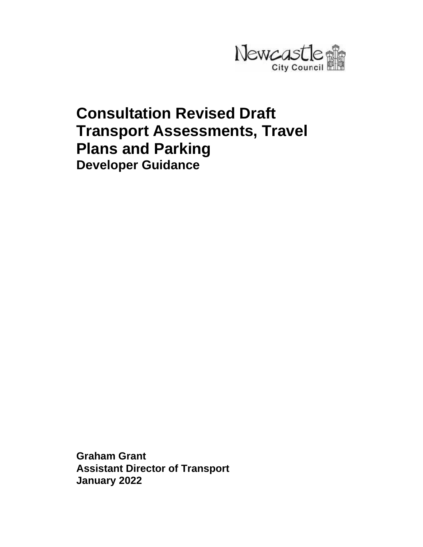

# **Consultation Revised Draft Transport Assessments, Travel Plans and Parking Developer Guidance**

**Graham Grant Assistant Director of Transport January 2022**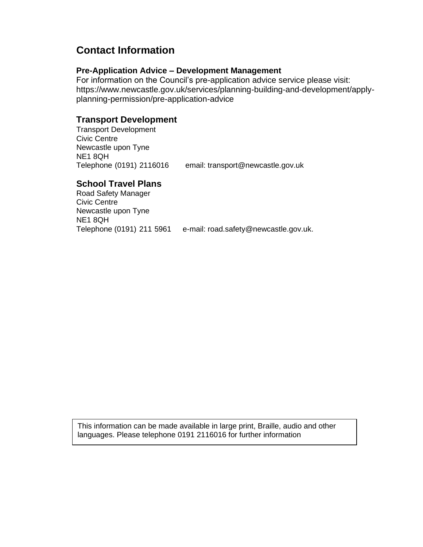# **Contact Information**

### **Pre-Application Advice – Development Management**

For information on the Council's pre-application advice service please visit: https://www.newcastle.gov.uk/services/planning-building-and-development/applyplanning-permission/pre-application-advice

# **Transport Development**

Transport Development Civic Centre Newcastle upon Tyne NE1 8QH

Telephone (0191) 2116016 email: transport@newcastle.gov.uk

# **School Travel Plans**

Road Safety Manager Civic Centre Newcastle upon Tyne NE1 8QH Telephone (0191) 211 5961 e-mail: road.safety@newcastle.gov.uk.

This information can be made available in large print, Braille, audio and other languages. Please telephone 0191 2116016 for further information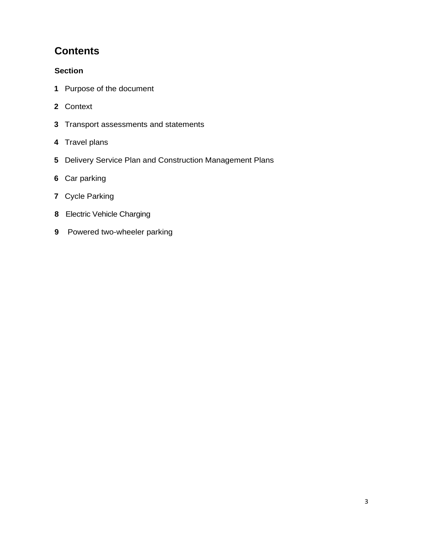# **Contents**

# **Section**

- Purpose of the document
- Context
- Transport assessments and statements
- Travel plans
- Delivery Service Plan and Construction Management Plans
- Car parking
- Cycle Parking
- Electric Vehicle Charging
- Powered two-wheeler parking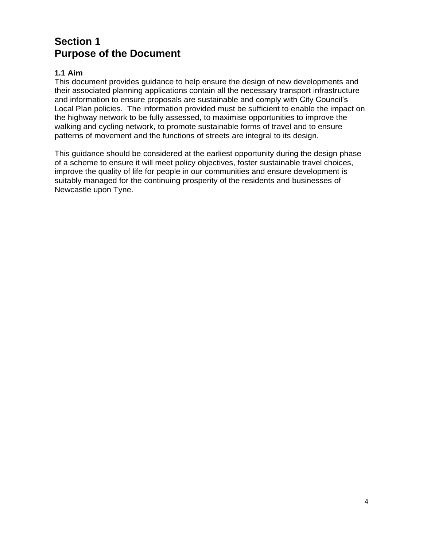# **Section 1 Purpose of the Document**

### **1.1 Aim**

This document provides guidance to help ensure the design of new developments and their associated planning applications contain all the necessary transport infrastructure and information to ensure proposals are sustainable and comply with City Council's Local Plan policies. The information provided must be sufficient to enable the impact on the highway network to be fully assessed, to maximise opportunities to improve the walking and cycling network, to promote sustainable forms of travel and to ensure patterns of movement and the functions of streets are integral to its design.

This guidance should be considered at the earliest opportunity during the design phase of a scheme to ensure it will meet policy objectives, foster sustainable travel choices, improve the quality of life for people in our communities and ensure development is suitably managed for the continuing prosperity of the residents and businesses of Newcastle upon Tyne.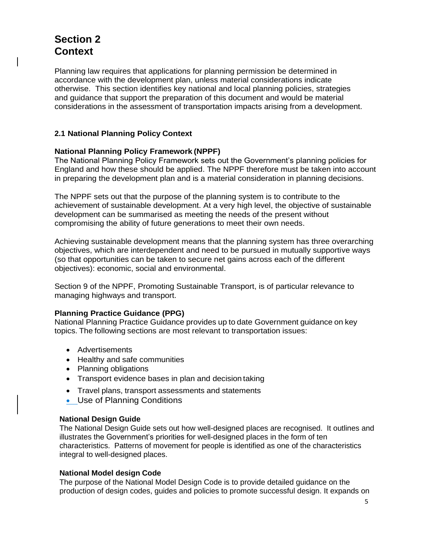# **Section 2 Context**

Planning law requires that applications for planning permission be determined in accordance with the development plan, unless material considerations indicate otherwise. This section identifies key national and local planning policies, strategies and guidance that support the preparation of this document and would be material considerations in the assessment of transportation impacts arising from a development.

### **2.1 National Planning Policy Context**

#### **National Planning Policy Framework (NPPF)**

The National Planning Policy Framework sets out the Government's planning policies for England and how these should be applied. The NPPF therefore must be taken into account in preparing the development plan and is a material consideration in planning decisions.

The NPPF sets out that the purpose of the planning system is to contribute to the achievement of sustainable development. At a very high level, the objective of sustainable development can be summarised as meeting the needs of the present without compromising the ability of future generations to meet their own needs.

Achieving sustainable development means that the planning system has three overarching objectives, which are interdependent and need to be pursued in mutually supportive ways (so that opportunities can be taken to secure net gains across each of the different objectives): economic, social and environmental.

Section 9 of the NPPF, Promoting Sustainable Transport, is of particular relevance to managing highways and transport.

#### **Planning Practice Guidance (PPG)**

National Planning Practice Guidance provides up to date Government guidance on key topics. The following sections are most relevant to transportation issues:

- Advertisements
- Healthy and safe communities
- Planning obligations
- Transport evidence bases in plan and decision taking
- Travel plans, transport assessments and statements
- Use of Planning Conditions

#### **National Design Guide**

The National Design Guide sets out how well-designed places are recognised. It outlines and illustrates the Government's priorities for well-designed places in the form of ten characteristics. Patterns of movement for people is identified as one of the characteristics integral to well-designed places.

#### **National Model design Code**

The purpose of the National Model Design Code is to provide detailed guidance on the production of design codes, guides and policies to promote successful design. It expands on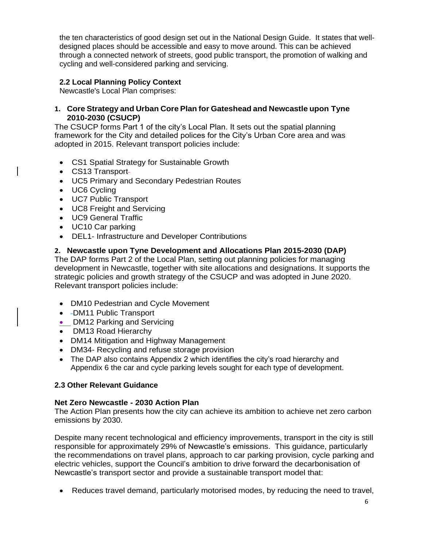the ten characteristics of good design set out in the National Design Guide. It states that welldesigned places should be accessible and easy to move around. This can be achieved through a connected network of streets, good public transport, the promotion of walking and cycling and well-considered parking and servicing.

# **2.2 Local Planning Policy Context**

Newcastle's Local Plan comprises:

#### **1. Core Strategy and Urban Core Plan for Gateshead and Newcastle upon Tyne 2010-2030 (CSUCP)**

The CSUCP forms Part 1 of the city's Local Plan. It sets out the spatial planning framework for the City and detailed polices for the City's Urban Core area and was adopted in 2015. Relevant transport policies include:

- CS1 Spatial Strategy for Sustainable Growth
- CS13 Transport
- UC5 Primary and Secondary Pedestrian Routes
- UC6 Cycling
- UC7 Public Transport
- UC8 Freight and Servicing
- UC9 General Traffic
- UC10 Car parking
- DEL1- Infrastructure and Developer Contributions

### **2. Newcastle upon Tyne Development and Allocations Plan 2015-2030 (DAP)**

The DAP forms Part 2 of the Local Plan, setting out planning policies for managing development in Newcastle, together with site allocations and designations. It supports the strategic policies and growth strategy of the CSUCP and was adopted in June 2020. Relevant transport policies include:

- DM10 Pedestrian and Cycle Movement
- DM11 Public Transport
- DM12 Parking and Servicing
- DM13 Road Hierarchy
- DM14 Mitigation and Highway Management
- DM34- Recycling and refuse storage provision
- The DAP also contains Appendix 2 which identifies the city's road hierarchy and Appendix 6 the car and cycle parking levels sought for each type of development.

#### **2.3 Other Relevant Guidance**

#### **Net Zero Newcastle - 2030 Action Plan**

The Action Plan presents how the city can achieve its ambition to achieve net zero carbon emissions by 2030.

Despite many recent technological and efficiency improvements, transport in the city is still responsible for approximately 29% of Newcastle's emissions. This guidance, particularly the recommendations on travel plans, approach to car parking provision, cycle parking and electric vehicles, support the Council's ambition to drive forward the decarbonisation of Newcastle's transport sector and provide a sustainable transport model that:

• Reduces travel demand, particularly motorised modes, by reducing the need to travel,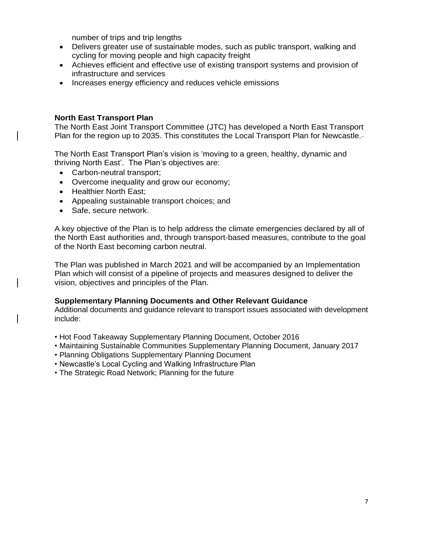number of trips and trip lengths

- Delivers greater use of sustainable modes, such as public transport, walking and cycling for moving people and high capacity freight
- Achieves efficient and effective use of existing transport systems and provision of infrastructure and services
- Increases energy efficiency and reduces vehicle emissions

#### **North East Transport Plan**

The North East Joint Transport Committee (JTC) has developed a North East Transport Plan for the region up to 2035. This constitutes the Local Transport Plan for Newcastle.-

The North East Transport Plan's vision is 'moving to a green, healthy, dynamic and thriving North East'. The Plan's objectives are:

- Carbon-neutral transport;
- Overcome inequality and grow our economy;
- Healthier North East:
- Appealing sustainable transport choices; and
- Safe, secure network.

A key objective of the Plan is to help address the climate emergencies declared by all of the North East authorities and, through transport-based measures, contribute to the goal of the North East becoming carbon neutral.

The Plan was published in March 2021 and will be accompanied by an Implementation Plan which will consist of a pipeline of projects and measures designed to deliver the vision, objectives and principles of the Plan.

#### **Supplementary Planning Documents and Other Relevant Guidance**

Additional documents and guidance relevant to transport issues associated with development include:

- Hot Food Takeaway Supplementary Planning Document, October 2016
- Maintaining Sustainable Communities Supplementary Planning Document, January 2017
- Planning Obligations Supplementary Planning Document
- Newcastle's Local Cycling and Walking Infrastructure Plan
- The Strategic Road Network; Planning for the future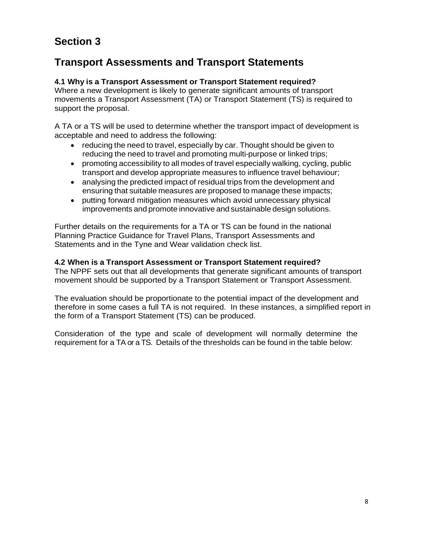# **Section 3**

# **Transport Assessments and Transport Statements**

### **4.1 Why is a Transport Assessment or Transport Statement required?**

Where a new development is likely to generate significant amounts of transport movements a Transport Assessment (TA) or Transport Statement (TS) is required to support the proposal.

A TA or a TS will be used to determine whether the transport impact of development is acceptable and need to address the following:

- reducing the need to travel, especially by car. Thought should be given to reducing the need to travel and promoting multi-purpose or linked trips;
- promoting accessibility to all modes of travel especially walking, cycling, public transport and develop appropriate measures to influence travel behaviour;
- analysing the predicted impact of residual trips from the development and ensuring that suitable measures are proposed to manage these impacts;
- putting forward mitigation measures which avoid unnecessary physical improvements and promote innovative and sustainable design solutions.

Further details on the requirements for a TA or TS can be found in the national Planning Practice Guidance for Travel Plans, Transport Assessments and Statements and in the Tyne and Wear validation check list.

# **4.2 When is a Transport Assessment or Transport Statement required?**

The NPPF sets out that all developments that generate significant amounts of transport movement should be supported by a Transport Statement or Transport Assessment.

The evaluation should be proportionate to the potential impact of the development and therefore in some cases a full TA is not required. In these instances, a simplified report in the form of a Transport Statement (TS) can be produced.

Consideration of the type and scale of development will normally determine the requirement for a TA or a TS. Details of the thresholds can be found in the table below: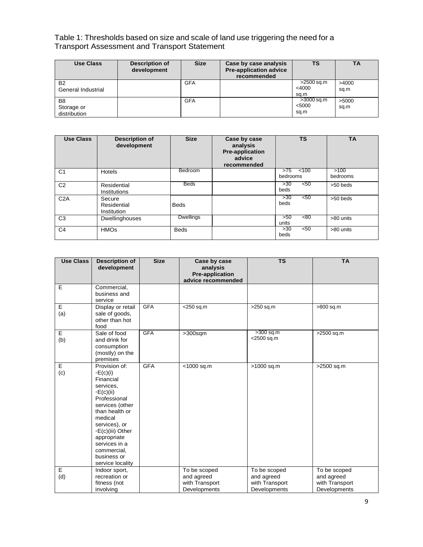#### Table 1: Thresholds based on size and scale of land use triggering the need for a Transport Assessment and Transport Statement

| <b>Use Class</b>                             | <b>Description of</b><br>development | <b>Size</b> | Case by case analysis<br><b>Pre-application advice</b><br>recommended | TS                             | ΤA            |
|----------------------------------------------|--------------------------------------|-------------|-----------------------------------------------------------------------|--------------------------------|---------------|
| <b>B2</b><br>General Industrial              |                                      | <b>GFA</b>  |                                                                       | >2500 sq.m<br>$<$ 4000<br>sq.m | >4000<br>sq.m |
| B <sub>8</sub><br>Storage or<br>distribution |                                      | <b>GFA</b>  |                                                                       | >3000 sq.m<br>< 5000<br>sq.m   | >5000<br>sq.m |

| <b>Use Class</b> | <b>Description of</b><br>development        | <b>Size</b>      | Case by case<br>analysis<br>Pre-application<br>advice<br>recommended | <b>TS</b>                | <b>TA</b>        |
|------------------|---------------------------------------------|------------------|----------------------------------------------------------------------|--------------------------|------------------|
| C <sub>1</sub>   | Hotels                                      | Bedroom          |                                                                      | >75<br>< 100<br>bedrooms | >100<br>bedrooms |
| C <sub>2</sub>   | Residential<br>Institutions                 | <b>Beds</b>      |                                                                      | < 50<br>>30<br>beds      | >50 beds         |
| C2A              | Secure<br>Residential<br><b>Institution</b> | <b>Beds</b>      |                                                                      | >30<br>< 50<br>beds      | >50 beds         |
| C <sub>3</sub>   | Dwellinghouses                              | <b>Dwellings</b> |                                                                      | <80<br>>50<br>units      | >80 units        |
| C <sub>4</sub>   | <b>HMOs</b>                                 | <b>Beds</b>      |                                                                      | 50<<br>>30<br>beds       | >80 units        |

| <b>Use Class</b> | <b>Description of</b><br>development                                                                                                                                                                                                                          | <b>Size</b> | Case by case<br>analysis<br><b>Pre-application</b><br>advice recommended | <b>TS</b>                                                    | <b>TA</b>                                                    |
|------------------|---------------------------------------------------------------------------------------------------------------------------------------------------------------------------------------------------------------------------------------------------------------|-------------|--------------------------------------------------------------------------|--------------------------------------------------------------|--------------------------------------------------------------|
| E                | Commercial,<br>business and<br>service                                                                                                                                                                                                                        |             |                                                                          |                                                              |                                                              |
| E<br>(a)         | Display or retail<br>sale of goods,<br>other than hot<br>food                                                                                                                                                                                                 | <b>GFA</b>  | $<$ 250 sq.m                                                             | >250 sq.m                                                    | >800 sq.m                                                    |
| E<br>(b)         | Sale of food<br>and drink for<br>consumption<br>(mostly) on the<br>premises                                                                                                                                                                                   | <b>GFA</b>  | $>300$ sqm                                                               | >300 sq.m<br><2500 sq.m                                      | >2500 sq.m                                                   |
| E<br>(c)         | Provision of:<br>$\circ E(c)(i)$<br>Financial<br>services.<br>E(c)(ii)<br>Professional<br>services (other<br>than health or<br>medical<br>services), or<br>∘E(c)(iii) Other<br>appropriate<br>services in a<br>commercial,<br>business or<br>service locality | <b>GFA</b>  | <1000 sq.m                                                               | >1000 sq.m                                                   | >2500 sq.m                                                   |
| Ε<br>(d)         | Indoor sport,<br>recreation or<br>fitness (not<br>involving                                                                                                                                                                                                   |             | To be scoped<br>and agreed<br>with Transport<br>Developments             | To be scoped<br>and agreed<br>with Transport<br>Developments | To be scoped<br>and agreed<br>with Transport<br>Developments |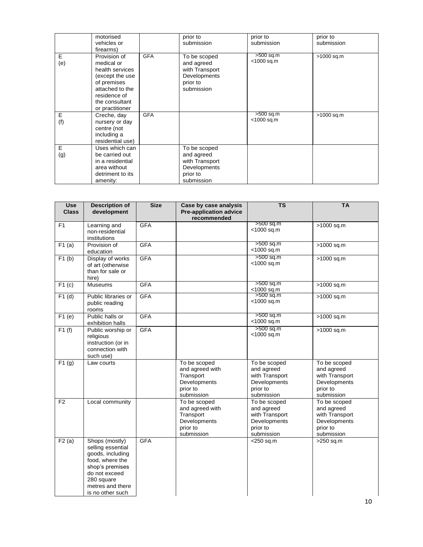|          | motorised<br>vehicles or<br>firearms)                                                                                                                   |            | prior to<br>submission                                                                 | prior to<br>submission       | prior to<br>submission |
|----------|---------------------------------------------------------------------------------------------------------------------------------------------------------|------------|----------------------------------------------------------------------------------------|------------------------------|------------------------|
| E<br>(e) | Provision of<br>medical or<br>health services<br>(except the use<br>of premises<br>attached to the<br>residence of<br>the consultant<br>or practitioner | <b>GFA</b> | To be scoped<br>and agreed<br>with Transport<br>Developments<br>prior to<br>submission | $>500$ sq.m<br><1000 sq.m    | >1000 sq.m             |
| E<br>(f) | Creche, day<br>nursery or day<br>centre (not<br>including a<br>residential use)                                                                         | <b>GFA</b> |                                                                                        | $>500$ sq.m<br>$<$ 1000 sq.m | >1000 sq.m             |
| E<br>(g) | Uses which can<br>be carried out<br>in a residential<br>area without<br>detriment to its<br>amenity:                                                    |            | To be scoped<br>and agreed<br>with Transport<br>Developments<br>prior to<br>submission |                              |                        |

| <b>Use</b><br><b>Class</b> | <b>Description of</b><br>development                                                                                                                                 | <b>Size</b> | Case by case analysis<br><b>Pre-application advice</b><br>recommended                  | $\overline{\mathsf{TS}}$                                                               | <b>TA</b>                                                                              |
|----------------------------|----------------------------------------------------------------------------------------------------------------------------------------------------------------------|-------------|----------------------------------------------------------------------------------------|----------------------------------------------------------------------------------------|----------------------------------------------------------------------------------------|
| F1                         | Learning and<br>non-residential<br>institutions                                                                                                                      | <b>GFA</b>  |                                                                                        | $>500$ sq.m<br><1000 sq.m                                                              | >1000 sq.m                                                                             |
| F1(a)                      | Provision of<br>education                                                                                                                                            | <b>GFA</b>  |                                                                                        | >500 sq.m<br><1000 sq.m                                                                | >1000 sq.m                                                                             |
| F1(b)                      | Display of works<br>of art (otherwise<br>than for sale or<br>hire)                                                                                                   | <b>GFA</b>  |                                                                                        | >500 sq.m<br><1000 sq.m                                                                | $>1000$ sq.m                                                                           |
| F1(c)                      | <b>Museums</b>                                                                                                                                                       | <b>GFA</b>  |                                                                                        | >500 sq.m<br><1000 sq.m                                                                | >1000 sq.m                                                                             |
| F1(d)                      | Public libraries or<br>public reading<br>rooms                                                                                                                       | <b>GFA</b>  |                                                                                        | $500$ sq.m<br><1000 sq.m                                                               | >1000 sq.m                                                                             |
| F1(e)                      | Public halls or<br>exhibition halls                                                                                                                                  | <b>GFA</b>  |                                                                                        | >500 sq.m<br><1000 sq.m                                                                | >1000 sq.m                                                                             |
| F1(f)                      | Public worship or<br>religious<br>instruction (or in<br>connection with<br>such use)                                                                                 | <b>GFA</b>  |                                                                                        | >500 sq.m<br>$<$ 1000 sq.m                                                             | $>1000$ sq.m                                                                           |
| F1(g)                      | Law courts                                                                                                                                                           |             | To be scoped<br>and agreed with<br>Transport<br>Developments<br>prior to<br>submission | To be scoped<br>and agreed<br>with Transport<br>Developments<br>prior to<br>submission | To be scoped<br>and agreed<br>with Transport<br>Developments<br>prior to<br>submission |
| F <sub>2</sub>             | Local community                                                                                                                                                      |             | To be scoped<br>and agreed with<br>Transport<br>Developments<br>prior to<br>submission | To be scoped<br>and agreed<br>with Transport<br>Developments<br>prior to<br>submission | To be scoped<br>and agreed<br>with Transport<br>Developments<br>prior to<br>submission |
| F2(a)                      | Shops (mostly)<br>selling essential<br>goods, including<br>food, where the<br>shop's premises<br>do not exceed<br>280 square<br>metres and there<br>is no other such | <b>GFA</b>  |                                                                                        | $<$ 250 sq.m                                                                           | >250 sq.m                                                                              |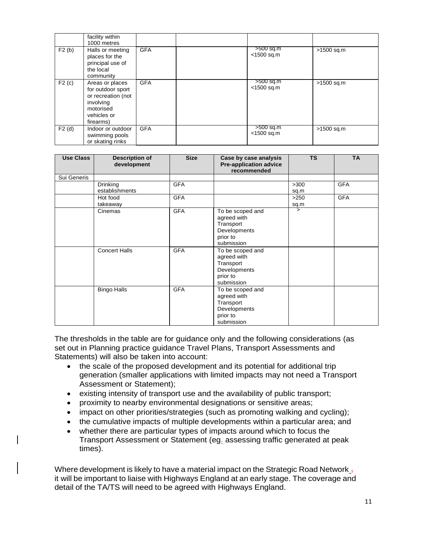|       | facility within<br>1000 metres                                                                                   |            |                              |            |
|-------|------------------------------------------------------------------------------------------------------------------|------------|------------------------------|------------|
| F2(b) | Halls or meeting<br>places for the<br>principal use of<br>the local<br>community                                 | <b>GFA</b> | $>500$ sq.m<br>$<$ 1500 sq.m | >1500 sq.m |
| F2(c) | Areas or places<br>for outdoor sport<br>or recreation (not<br>involving<br>motorised<br>vehicles or<br>firearms) | <b>GFA</b> | $>500$ sq.m<br>$<$ 1500 sq.m | >1500 sq.m |
| F2(d) | Indoor or outdoor<br>swimming pools<br>or skating rinks                                                          | <b>GFA</b> | $>500$ sq.m<br>$<$ 1500 sq.m | >1500 sq.m |

| <b>Use Class</b> | <b>Description of</b><br>development | <b>Size</b> | Case by case analysis<br><b>Pre-application advice</b><br>recommended                  | <b>TS</b>    | <b>TA</b>  |
|------------------|--------------------------------------|-------------|----------------------------------------------------------------------------------------|--------------|------------|
| Sui Generis      |                                      |             |                                                                                        |              |            |
|                  | Drinking<br>establishments           | <b>GFA</b>  |                                                                                        | >300<br>sq.m | <b>GFA</b> |
|                  | Hot food<br>takeaway                 | <b>GFA</b>  |                                                                                        | >250<br>sq.m | <b>GFA</b> |
|                  | Cinemas                              | <b>GFA</b>  | To be scoped and<br>agreed with<br>Transport<br>Developments<br>prior to<br>submission | 5            |            |
|                  | <b>Concert Halls</b>                 | <b>GFA</b>  | To be scoped and<br>agreed with<br>Transport<br>Developments<br>prior to<br>submission |              |            |
|                  | <b>Bingo Halls</b>                   | <b>GFA</b>  | To be scoped and<br>agreed with<br>Transport<br>Developments<br>prior to<br>submission |              |            |

The thresholds in the table are for guidance only and the following considerations (as set out in Planning practice guidance Travel Plans, Transport Assessments and Statements) will also be taken into account:

- the scale of the proposed development and its potential for additional trip generation (smaller applications with limited impacts may not need a Transport Assessment or Statement);
- existing intensity of transport use and the availability of public transport;
- proximity to nearby environmental designations or sensitive areas;
- impact on other priorities/strategies (such as promoting walking and cycling);
- the cumulative impacts of multiple developments within a particular area; and
- whether there are particular types of impacts around which to focus the Transport Assessment or Statement (eg. assessing traffic generated at peak times).

Where development is likely to have a material impact on the Strategic Road Network  $\frac{1}{1}$ it will be important to liaise with Highways England at an early stage. The coverage and detail of the TA/TS will need to be agreed with Highways England.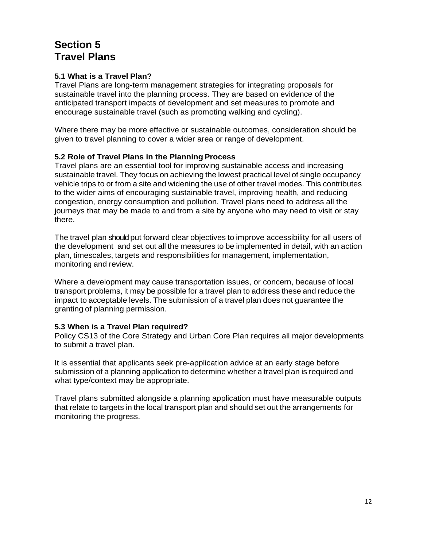# **Section 5 Travel Plans**

# **5.1 What is a Travel Plan?**

Travel Plans are long-term management strategies for integrating proposals for sustainable travel into the planning process. They are based on evidence of the anticipated transport impacts of development and set measures to promote and encourage sustainable travel (such as promoting walking and cycling).

Where there may be more effective or sustainable outcomes, consideration should be given to travel planning to cover a wider area or range of development.

#### **5.2 Role of Travel Plans in the Planning Process**

Travel plans are an essential tool for improving sustainable access and increasing sustainable travel. They focus on achieving the lowest practical level of single occupancy vehicle trips to or from a site and widening the use of other travel modes. This contributes to the wider aims of encouraging sustainable travel, improving health, and reducing congestion, energy consumption and pollution. Travel plans need to address all the journeys that may be made to and from a site by anyone who may need to visit or stay there.

The travel plan should put forward clear objectives to improve accessibility for all users of the development and set out all the measures to be implemented in detail, with an action plan, timescales, targets and responsibilities for management, implementation, monitoring and review.

Where a development may cause transportation issues, or concern, because of local transport problems, it may be possible for a travel plan to address these and reduce the impact to acceptable levels. The submission of a travel plan does not guarantee the granting of planning permission.

#### **5.3 When is a Travel Plan required?**

Policy CS13 of the Core Strategy and Urban Core Plan requires all major developments to submit a travel plan.

It is essential that applicants seek pre-application advice at an early stage before submission of a planning application to determine whether a travel plan is required and what type/context may be appropriate.

Travel plans submitted alongside a planning application must have measurable outputs that relate to targets in the local transport plan and should set out the arrangements for monitoring the progress.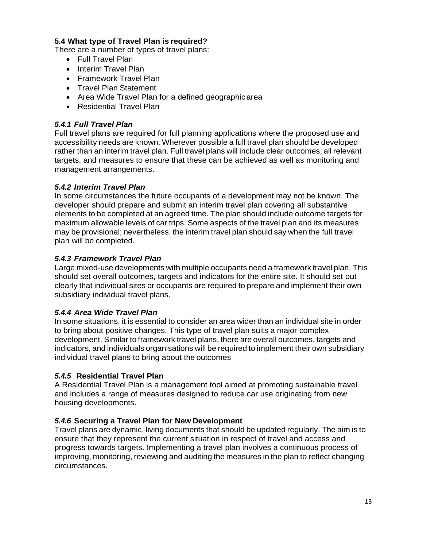### **5.4 What type of Travel Plan is required?**

There are a number of types of travel plans:

- Full Travel Plan
- Interim Travel Plan
- Framework Travel Plan
- Travel Plan Statement
- Area Wide Travel Plan for a defined geographicarea
- Residential Travel Plan

### *5.4.1 Full Travel Plan*

Full travel plans are required for full planning applications where the proposed use and accessibility needs are known. Wherever possible a full travel plan should be developed rather than an interim travel plan. Full travel plans will include clear outcomes, all relevant targets, and measures to ensure that these can be achieved as well as monitoring and management arrangements.

### *5.4.2 Interim Travel Plan*

In some circumstances the future occupants of a development may not be known. The developer should prepare and submit an interim travel plan covering all substantive elements to be completed at an agreed time. The plan should include outcome targets for maximum allowable levels of car trips. Some aspects of the travel plan and its measures may be provisional; nevertheless, the interim travel plan should say when the full travel plan will be completed.

### *5.4.3 Framework Travel Plan*

Large mixed-use developments with multiple occupants need a framework travel plan. This should set overall outcomes, targets and indicators for the entire site. It should set out clearly that individual sites or occupants are required to prepare and implement their own subsidiary individual travel plans.

#### *5.4.4 Area Wide Travel Plan*

In some situations, it is essential to consider an area wider than an individual site in order to bring about positive changes. This type of travel plan suits a major complex development. Similar to framework travel plans, there are overall outcomes, targets and indicators, and individuals organisations will be required to implement their own subsidiary individual travel plans to bring about the outcomes

#### *5.4.5* **Residential Travel Plan**

A Residential Travel Plan is a management tool aimed at promoting sustainable travel and includes a range of measures designed to reduce car use originating from new housing developments.

#### *5.4.6* **Securing a Travel Plan for New Development**

Travel plans are dynamic, living documents that should be updated regularly. The aim is to ensure that they represent the current situation in respect of travel and access and progress towards targets. Implementing a travel plan involves a continuous process of improving, monitoring, reviewing and auditing the measures in the plan to reflect changing circumstances.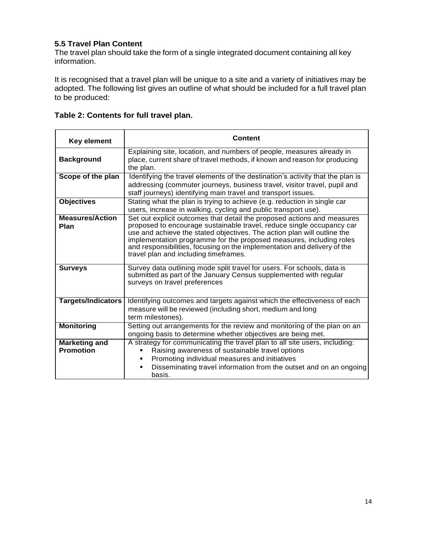# **5.5 Travel Plan Content**

The travel plan should take the form of a single integrated document containing all key information.

It is recognised that a travel plan will be unique to a site and a variety of initiatives may be adopted. The following list gives an outline of what should be included for a full travel plan to be produced:

| <b>Key element</b>                       | Content                                                                                                                                                                                                                                                                                                                                                                                                                 |  |  |  |  |
|------------------------------------------|-------------------------------------------------------------------------------------------------------------------------------------------------------------------------------------------------------------------------------------------------------------------------------------------------------------------------------------------------------------------------------------------------------------------------|--|--|--|--|
| <b>Background</b>                        | Explaining site, location, and numbers of people, measures already in<br>place, current share of travel methods, if known and reason for producing<br>the plan.                                                                                                                                                                                                                                                         |  |  |  |  |
| Scope of the plan                        | Identifying the travel elements of the destination's activity that the plan is<br>addressing (commuter journeys, business travel, visitor travel, pupil and<br>staff journeys) identifying main travel and transport issues.                                                                                                                                                                                            |  |  |  |  |
| <b>Objectives</b>                        | Stating what the plan is trying to achieve (e.g. reduction in single car<br>users, increase in walking, cycling and public transport use).                                                                                                                                                                                                                                                                              |  |  |  |  |
| <b>Measures/Action</b><br>Plan           | Set out explicit outcomes that detail the proposed actions and measures<br>proposed to encourage sustainable travel, reduce single occupancy car<br>use and achieve the stated objectives. The action plan will outline the<br>implementation programme for the proposed measures, including roles<br>and responsibilities, focusing on the implementation and delivery of the<br>travel plan and including timeframes. |  |  |  |  |
| <b>Surveys</b>                           | Survey data outlining mode split travel for users. For schools, data is<br>submitted as part of the January Census supplemented with regular<br>surveys on travel preferences                                                                                                                                                                                                                                           |  |  |  |  |
| <b>Targets/Indicators</b>                | Identifying outcomes and targets against which the effectiveness of each<br>measure will be reviewed (including short, medium and long<br>term milestones).                                                                                                                                                                                                                                                             |  |  |  |  |
| <b>Monitoring</b>                        | Setting out arrangements for the review and monitoring of the plan on an<br>ongoing basis to determine whether objectives are being met.                                                                                                                                                                                                                                                                                |  |  |  |  |
| <b>Marketing and</b><br><b>Promotion</b> | A strategy for communicating the travel plan to all site users, including:<br>Raising awareness of sustainable travel options<br>Promoting individual measures and initiatives<br>Disseminating travel information from the outset and on an ongoing<br>basis.                                                                                                                                                          |  |  |  |  |

# **Table 2: Contents for full travel plan.**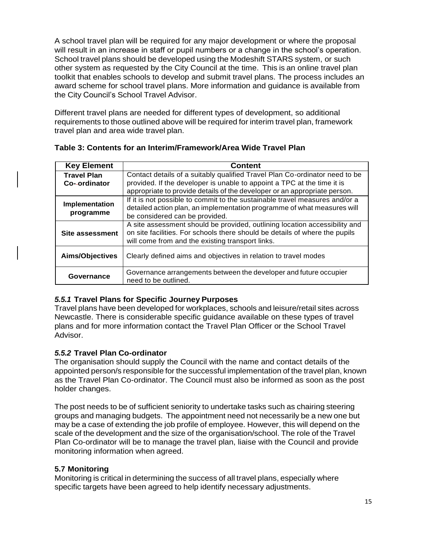A school travel plan will be required for any major development or where the proposal will result in an increase in staff or pupil numbers or a change in the school's operation. School travel plans should be developed using the Modeshift STARS system, or such other system as requested by the City Council at the time. This is an online travel plan toolkit that enables schools to develop and submit travel plans. The process includes an award scheme for school travel plans. More information and guidance is available from the City Council's School Travel Advisor.

Different travel plans are needed for different types of development, so additional requirements to those outlined above will be required for interim travel plan, framework travel plan and area wide travel plan.

| <b>Key Element</b>     | <b>Content</b>                                                                                                                                                                                                |
|------------------------|---------------------------------------------------------------------------------------------------------------------------------------------------------------------------------------------------------------|
| <b>Travel Plan</b>     | Contact details of a suitably qualified Travel Plan Co-ordinator need to be                                                                                                                                   |
| Co--ordinator          | provided. If the developer is unable to appoint a TPC at the time it is                                                                                                                                       |
|                        | appropriate to provide details of the developer or an appropriate person.                                                                                                                                     |
|                        | If it is not possible to commit to the sustainable travel measures and/or a                                                                                                                                   |
| <b>Implementation</b>  | detailed action plan, an implementation programme of what measures will                                                                                                                                       |
| programme              | be considered can be provided.                                                                                                                                                                                |
| <b>Site assessment</b> | A site assessment should be provided, outlining location accessibility and<br>on site facilities. For schools there should be details of where the pupils<br>will come from and the existing transport links. |
| <b>Aims/Objectives</b> | Clearly defined aims and objectives in relation to travel modes                                                                                                                                               |
| Governance             | Governance arrangements between the developer and future occupier<br>need to be outlined.                                                                                                                     |

**Table 3: Contents for an Interim/Framework/Area Wide Travel Plan**

# *5.5.1* **Travel Plans for Specific Journey Purposes**

Travel plans have been developed for workplaces, schools and leisure/retail sites across Newcastle. There is considerable specific guidance available on these types of travel plans and for more information contact the Travel Plan Officer or the School Travel Advisor.

# *5.5.2* **Travel Plan Co-ordinator**

The organisation should supply the Council with the name and contact details of the appointed person/s responsible for the successful implementation of the travel plan, known as the Travel Plan Co-ordinator. The Council must also be informed as soon as the post holder changes.

The post needs to be of sufficient seniority to undertake tasks such as chairing steering groups and managing budgets. The appointment need not necessarily be a new one but may be a case of extending the job profile of employee. However, this will depend on the scale of the development and the size of the organisation/school. The role of the Travel Plan Co-ordinator will be to manage the travel plan, liaise with the Council and provide monitoring information when agreed.

# **5.7 Monitoring**

Monitoring is critical in determining the success of all travel plans, especially where specific targets have been agreed to help identify necessary adjustments.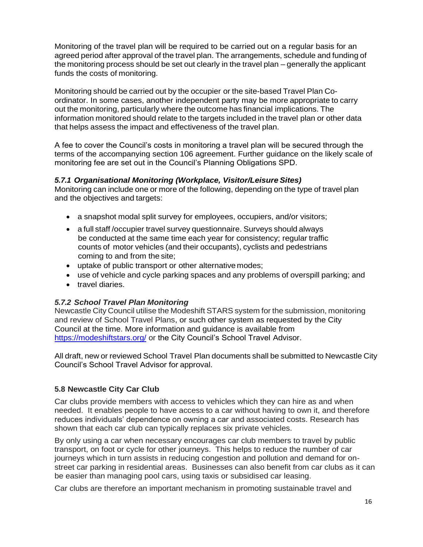Monitoring of the travel plan will be required to be carried out on a regular basis for an agreed period after approval of the travel plan. The arrangements, schedule and funding of the monitoring process should be set out clearly in the travel plan – generally the applicant funds the costs of monitoring.

Monitoring should be carried out by the occupier or the site-based Travel Plan Coordinator. In some cases, another independent party may be more appropriate to carry out the monitoring, particularly where the outcome has financial implications. The information monitored should relate to the targets included in the travel plan or other data that helps assess the impact and effectiveness of the travel plan.

A fee to cover the Council's costs in monitoring a travel plan will be secured through the terms of the accompanying section 106 agreement. Further guidance on the likely scale of monitoring fee are set out in the Council's Planning Obligations SPD.

#### *5.7.1 Organisational Monitoring (Workplace, Visitor/Leisure Sites)*

Monitoring can include one or more of the following, depending on the type of travel plan and the objectives and targets:

- a snapshot modal split survey for employees, occupiers, and/or visitors;
- a full staff /occupier travel survey questionnaire. Surveys should always be conducted at the same time each year for consistency; regular traffic counts of motor vehicles (and their occupants), cyclists and pedestrians coming to and from the site;
- uptake of public transport or other alternative modes;
- use of vehicle and cycle parking spaces and any problems of overspill parking; and
- travel diaries.

# *5.7.2 School Travel Plan Monitoring*

Newcastle City Council utilise the Modeshift STARS system for the submission, monitoring and review of School Travel Plans, or such other system as requested by the City Council at the time. More information and guidance is available from https://modeshiftstars.org/ or the City Council's School Travel Advisor.

All draft, new or reviewed School Travel Plan documents shall be submitted to Newcastle City Council's School Travel Advisor for approval.

# **5.8 Newcastle City Car Club**

Car clubs provide members with access to vehicles which they can hire as and when needed. It enables people to have access to a car without having to own it, and therefore reduces individuals' dependence on owning a car and associated costs. Research has shown that each car club can typically replaces six private vehicles.

By only using a car when necessary encourages car club members to travel by public transport, on foot or cycle for other journeys. This helps to reduce the number of car journeys which in turn assists in reducing congestion and pollution and demand for onstreet car parking in residential areas. Businesses can also benefit from car clubs as it can be easier than managing pool cars, using taxis or subsidised car leasing.

Car clubs are therefore an important mechanism in promoting sustainable travel and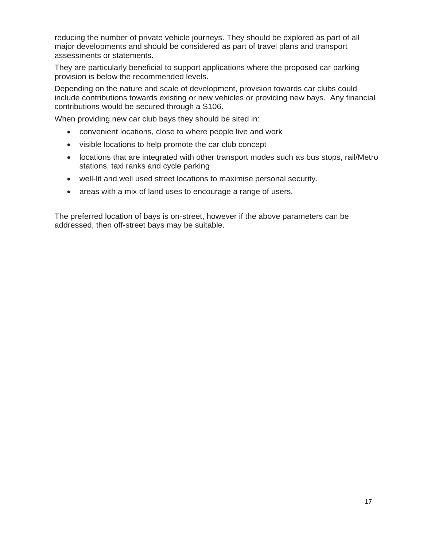reducing the number of private vehicle journeys. They should be explored as part of all major developments and should be considered as part of travel plans and transport assessments or statements.

They are particularly beneficial to support applications where the proposed car parking provision is below the recommended levels.

Depending on the nature and scale of development, provision towards car clubs could include contributions towards existing or new vehicles or providing new bays. Any financial contributions would be secured through a S106.

When providing new car club bays they should be sited in:

- convenient locations, close to where people live and work
- visible locations to help promote the car club concept
- locations that are integrated with other transport modes such as bus stops, rail/Metro stations, taxi ranks and cycle parking
- well-lit and well used street locations to maximise personal security.
- areas with a mix of land uses to encourage a range of users.

The preferred location of bays is on-street, however if the above parameters can be addressed, then off-street bays may be suitable.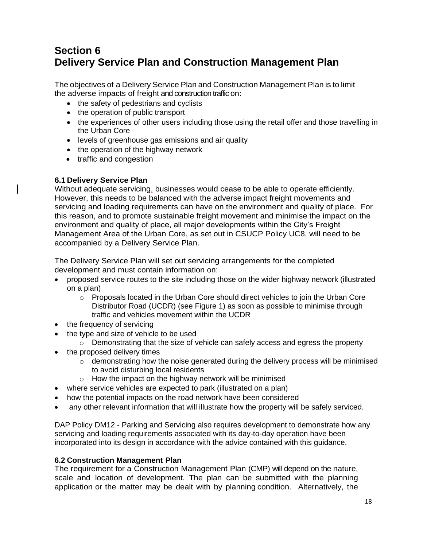# **Section 6 Delivery Service Plan and Construction Management Plan**

The objectives of a Delivery Service Plan and Construction Management Plan is to limit the adverse impacts of freight and construction traffic on:

- the safety of pedestrians and cyclists
- the operation of public transport
- the experiences of other users including those using the retail offer and those travelling in the Urban Core
- levels of greenhouse gas emissions and air quality
- the operation of the highway network
- traffic and congestion

### **6.1 Delivery Service Plan**

Without adequate servicing, businesses would cease to be able to operate efficiently. However, this needs to be balanced with the adverse impact freight movements and servicing and loading requirements can have on the environment and quality of place. For this reason, and to promote sustainable freight movement and minimise the impact on the environment and quality of place, all major developments within the City's Freight Management Area of the Urban Core, as set out in CSUCP Policy UC8, will need to be accompanied by a Delivery Service Plan.

The Delivery Service Plan will set out servicing arrangements for the completed development and must contain information on:

- proposed service routes to the site including those on the wider highway network (illustrated on a plan)
	- $\circ$  Proposals located in the Urban Core should direct vehicles to join the Urban Core Distributor Road (UCDR) (see Figure 1) as soon as possible to minimise through traffic and vehicles movement within the UCDR
- the frequency of servicing
- the type and size of vehicle to be used
	- $\circ$  Demonstrating that the size of vehicle can safely access and egress the property
- the proposed delivery times
	- o demonstrating how the noise generated during the delivery process will be minimised to avoid disturbing local residents
	- $\circ$  How the impact on the highway network will be minimised
- where service vehicles are expected to park (illustrated on a plan)
- how the potential impacts on the road network have been considered
- any other relevant information that will illustrate how the property will be safely serviced.

DAP Policy DM12 - Parking and Servicing also requires development to demonstrate how any servicing and loading requirements associated with its day-to-day operation have been incorporated into its design in accordance with the advice contained with this guidance.

#### **6.2 Construction Management Plan**

The requirement for a Construction Management Plan (CMP) will depend on the nature, scale and location of development. The plan can be submitted with the planning application or the matter may be dealt with by planning condition. Alternatively, the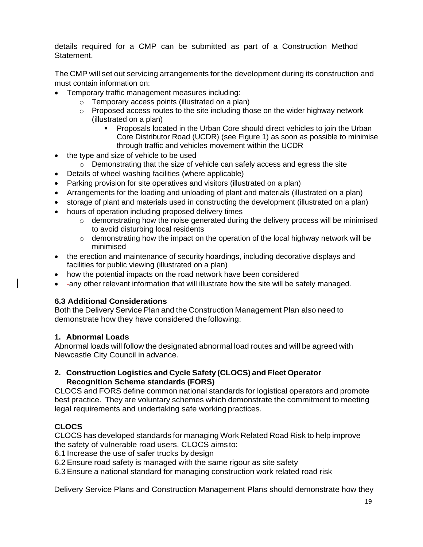details required for a CMP can be submitted as part of a Construction Method Statement.

The CMP will set out servicing arrangements for the development during its construction and must contain information on:

- Temporary traffic management measures including:
	- o Temporary access points (illustrated on a plan)
	- o Proposed access routes to the site including those on the wider highway network (illustrated on a plan)
		- Proposals located in the Urban Core should direct vehicles to join the Urban Core Distributor Road (UCDR) (see Figure 1) as soon as possible to minimise through traffic and vehicles movement within the UCDR
- the type and size of vehicle to be used
	- $\circ$  Demonstrating that the size of vehicle can safely access and egress the site
- Details of wheel washing facilities (where applicable)
- Parking provision for site operatives and visitors (illustrated on a plan)
- Arrangements for the loading and unloading of plant and materials (illustrated on a plan)
- storage of plant and materials used in constructing the development (illustrated on a plan)
- hours of operation including proposed delivery times
	- o demonstrating how the noise generated during the delivery process will be minimised to avoid disturbing local residents
	- $\circ$  demonstrating how the impact on the operation of the local highway network will be minimised
- the erection and maintenance of security hoardings, including decorative displays and facilities for public viewing (illustrated on a plan)
- how the potential impacts on the road network have been considered
- -any other relevant information that will illustrate how the site will be safely managed.

# **6.3 Additional Considerations**

Both the Delivery Service Plan and the Construction Management Plan also need to demonstrate how they have considered thefollowing:

#### **1. Abnormal Loads**

Abnormal loads will follow the designated abnormal load routes and will be agreed with Newcastle City Council in advance.

#### **2. Construction Logistics and Cycle Safety (CLOCS) and Fleet Operator Recognition Scheme standards (FORS)**

CLOCS and FORS define common national standards for logistical operators and promote best practice. They are voluntary schemes which demonstrate the commitment to meeting legal requirements and undertaking safe working practices.

# **CLOCS**

CLOCS has developed standards for managing Work Related Road Risk to help improve the safety of vulnerable road users. CLOCS aims to:

6.1 Increase the use of safer trucks by design

6.2 Ensure road safety is managed with the same rigour as site safety

6.3 Ensure a national standard for managing construction work related road risk

Delivery Service Plans and Construction Management Plans should demonstrate how they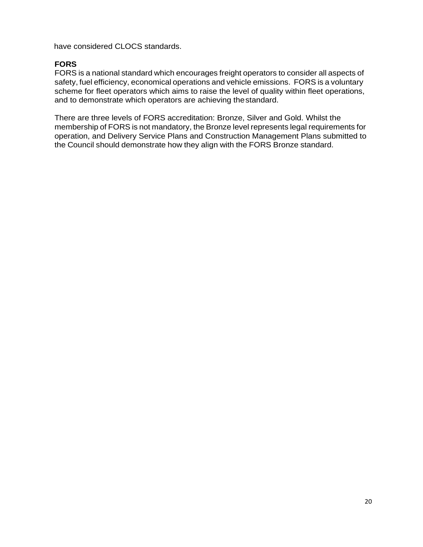have considered CLOCS standards.

# **FORS**

FORS is a national standard which encourages freight operators to consider all aspects of safety, fuel efficiency, economical operations and vehicle emissions. FORS is a voluntary scheme for fleet operators which aims to raise the level of quality within fleet operations, and to demonstrate which operators are achieving thestandard.

There are three levels of FORS accreditation: Bronze, Silver and Gold. Whilst the membership of FORS is not mandatory, the Bronze level represents legal requirements for operation, and Delivery Service Plans and Construction Management Plans submitted to the Council should demonstrate how they align with the FORS Bronze standard.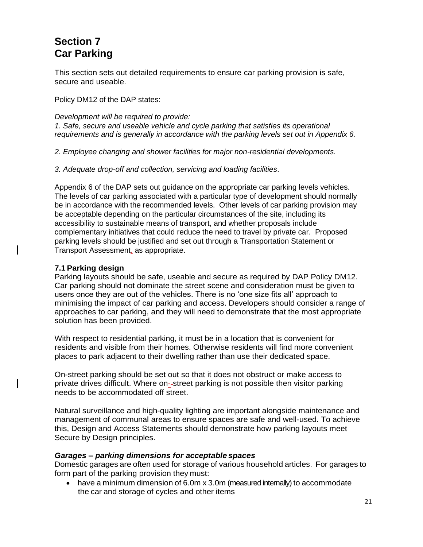# **Section 7 Car Parking**

This section sets out detailed requirements to ensure car parking provision is safe, secure and useable.

Policy DM12 of the DAP states:

*Development will be required to provide: 1. Safe, secure and useable vehicle and cycle parking that satisfies its operational requirements and is generally in accordance with the parking levels set out in Appendix 6.*

*2. Employee changing and shower facilities for major non-residential developments.*

*3. Adequate drop-off and collection, servicing and loading facilities*.

Appendix 6 of the DAP sets out guidance on the appropriate car parking levels vehicles. The levels of car parking associated with a particular type of development should normally be in accordance with the recommended levels. Other levels of car parking provision may be acceptable depending on the particular circumstances of the site, including its accessibility to sustainable means of transport, and whether proposals include complementary initiatives that could reduce the need to travel by private car. Proposed parking levels should be justified and set out through a Transportation Statement or Transport Assessment, as appropriate.

#### **7.1 Parking design**

Parking layouts should be safe, useable and secure as required by DAP Policy DM12. Car parking should not dominate the street scene and consideration must be given to users once they are out of the vehicles. There is no 'one size fits all' approach to minimising the impact of car parking and access. Developers should consider a range of approaches to car parking, and they will need to demonstrate that the most appropriate solution has been provided.

With respect to residential parking, it must be in a location that is convenient for residents and visible from their homes. Otherwise residents will find more convenient places to park adjacent to their dwelling rather than use their dedicated space.

On-street parking should be set out so that it does not obstruct or make access to private drives difficult. Where on--street parking is not possible then visitor parking needs to be accommodated off street.

Natural surveillance and high-quality lighting are important alongside maintenance and management of communal areas to ensure spaces are safe and well-used. To achieve this, Design and Access Statements should demonstrate how parking layouts meet Secure by Design principles.

#### *Garages – parking dimensions for acceptable spaces*

Domestic garages are often used for storage of various household articles. For garages to form part of the parking provision they must:

• have a minimum dimension of 6.0m x 3.0m (measured internally) to accommodate the car and storage of cycles and other items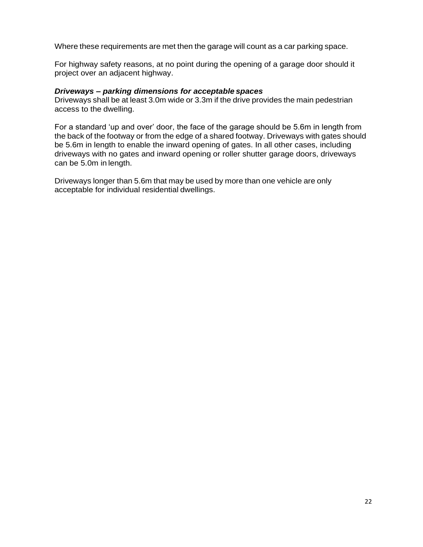Where these requirements are met then the garage will count as a car parking space.

For highway safety reasons, at no point during the opening of a garage door should it project over an adjacent highway.

#### *Driveways – parking dimensions for acceptable spaces*

Driveways shall be at least 3.0m wide or 3.3m if the drive provides the main pedestrian access to the dwelling.

For a standard 'up and over' door, the face of the garage should be 5.6m in length from the back of the footway or from the edge of a shared footway. Driveways with gates should be 5.6m in length to enable the inward opening of gates. In all other cases, including driveways with no gates and inward opening or roller shutter garage doors, driveways can be 5.0m in length.

Driveways longer than 5.6m that may be used by more than one vehicle are only acceptable for individual residential dwellings.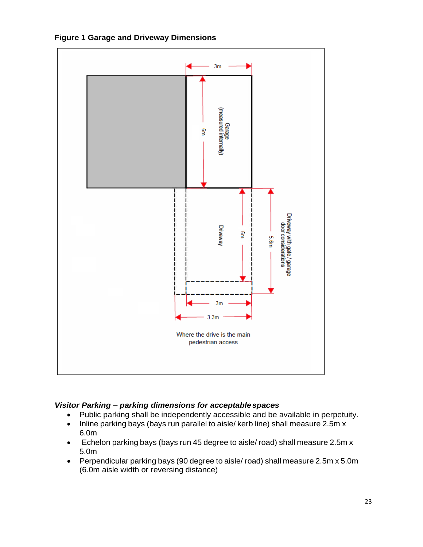

**Figure 1 Garage and Driveway Dimensions**

# *Visitor Parking – parking dimensions for acceptablespaces*

- Public parking shall be independently accessible and be available in perpetuity.
- Inline parking bays (bays run parallel to aisle/ kerb line) shall measure 2.5m x 6.0m
- Echelon parking bays (bays run 45 degree to aisle/ road) shall measure 2.5m x 5.0m
- Perpendicular parking bays (90 degree to aisle/ road) shall measure 2.5m x 5.0m (6.0m aisle width or reversing distance)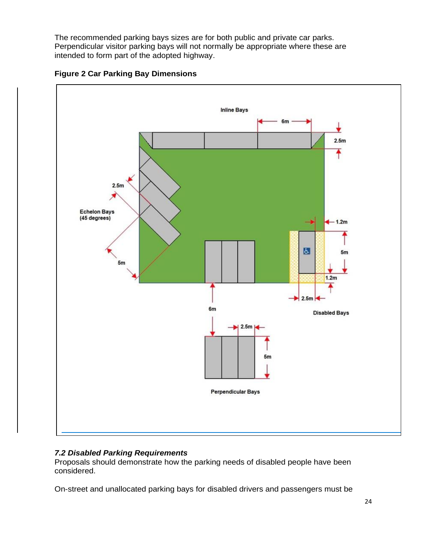The recommended parking bays sizes are for both public and private car parks. Perpendicular visitor parking bays will not normally be appropriate where these are intended to form part of the adopted highway.





# *7.2 Disabled Parking Requirements*

Proposals should demonstrate how the parking needs of disabled people have been considered.

On-street and unallocated parking bays for disabled drivers and passengers must be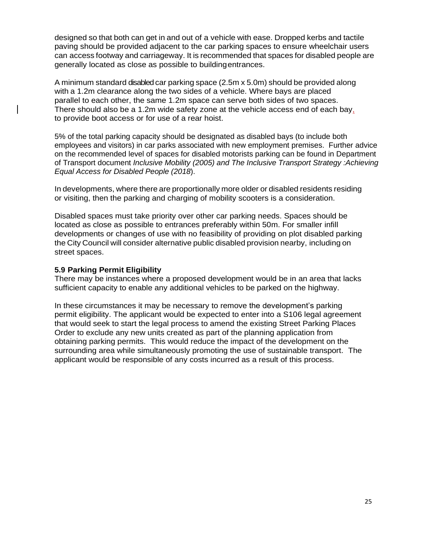designed so that both can get in and out of a vehicle with ease. Dropped kerbs and tactile paving should be provided adjacent to the car parking spaces to ensure wheelchair users can access footway and carriageway. It is recommended that spaces for disabled people are generally located as close as possible to buildingentrances.

A minimum standard disabled car parking space (2.5m x 5.0m) should be provided along with a 1.2m clearance along the two sides of a vehicle. Where bays are placed parallel to each other, the same 1.2m space can serve both sides of two spaces. There should also be a 1.2m wide safety zone at the vehicle access end of each bay, to provide boot access or for use of a rear hoist.

5% of the total parking capacity should be designated as disabled bays (to include both employees and visitors) in car parks associated with new employment premises. Further advice on the recommended level of spaces for disabled motorists parking can be found in Department of Transport document *Inclusive Mobility (2005) and The Inclusive Transport Strategy :Achieving Equal Access for Disabled People (2018*).

In developments, where there are proportionally more older or disabled residents residing or visiting, then the parking and charging of mobility scooters is a consideration.

Disabled spaces must take priority over other car parking needs. Spaces should be located as close as possible to entrances preferably within 50m. For smaller infill developments or changes of use with no feasibility of providing on plot disabled parking the City Council will consider alternative public disabled provision nearby, including on street spaces.

#### **5.9 Parking Permit Eligibility**

There may be instances where a proposed development would be in an area that lacks sufficient capacity to enable any additional vehicles to be parked on the highway.

In these circumstances it may be necessary to remove the development's parking permit eligibility. The applicant would be expected to enter into a S106 legal agreement that would seek to start the legal process to amend the existing Street Parking Places Order to exclude any new units created as part of the planning application from obtaining parking permits. This would reduce the impact of the development on the surrounding area while simultaneously promoting the use of sustainable transport. The applicant would be responsible of any costs incurred as a result of this process.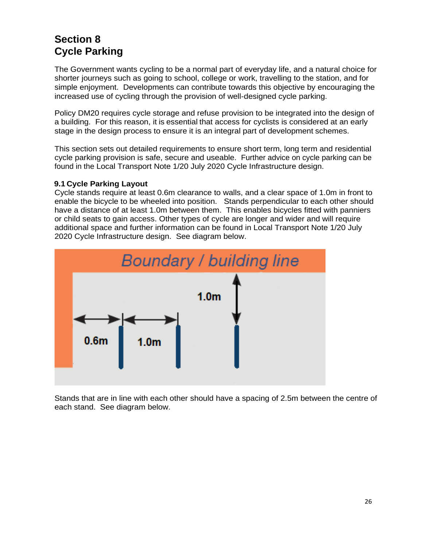# **Section 8 Cycle Parking**

The Government wants cycling to be a normal part of everyday life, and a natural choice for shorter journeys such as going to school, college or work, travelling to the station, and for simple enjoyment. Developments can contribute towards this objective by encouraging the increased use of cycling through the provision of well-designed cycle parking.

Policy DM20 requires cycle storage and refuse provision to be integrated into the design of a building. For this reason, it is essential that access for cyclists is considered at an early stage in the design process to ensure it is an integral part of development schemes.

This section sets out detailed requirements to ensure short term, long term and residential cycle parking provision is safe, secure and useable. Further advice on cycle parking can be found in the Local Transport Note 1/20 July 2020 Cycle Infrastructure design.

#### **9.1 Cycle Parking Layout**

Cycle stands require at least 0.6m clearance to walls, and a clear space of 1.0m in front to enable the bicycle to be wheeled into position. Stands perpendicular to each other should have a distance of at least 1.0m between them. This enables bicycles fitted with panniers or child seats to gain access. Other types of cycle are longer and wider and will require additional space and further information can be found in Local Transport Note 1/20 July 2020 Cycle Infrastructure design. See diagram below.



Stands that are in line with each other should have a spacing of 2.5m between the centre of each stand. See diagram below.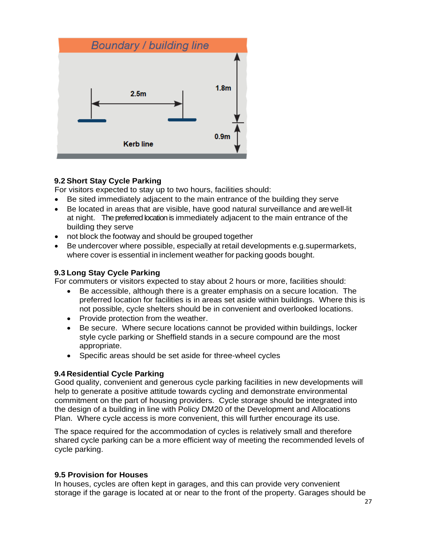

### **9.2 Short Stay Cycle Parking**

For visitors expected to stay up to two hours, facilities should:

- Be sited immediately adjacent to the main entrance of the building they serve
- Be located in areas that are visible, have good natural surveillance and are well-lit at night. The preferred location is immediately adjacent to the main entrance of the building they serve
- not block the footway and should be grouped together
- Be undercover where possible, especially at retail developments e.g.supermarkets, where cover is essential in inclement weather for packing goods bought.

#### **9.3 Long Stay Cycle Parking**

For commuters or visitors expected to stay about 2 hours or more, facilities should:

- Be accessible, although there is a greater emphasis on a secure location. The preferred location for facilities is in areas set aside within buildings. Where this is not possible, cycle shelters should be in convenient and overlooked locations.
- Provide protection from the weather.
- Be secure. Where secure locations cannot be provided within buildings, locker style cycle parking or Sheffield stands in a secure compound are the most appropriate.
- Specific areas should be set aside for three-wheel cycles

#### **9.4 Residential Cycle Parking**

Good quality, convenient and generous cycle parking facilities in new developments will help to generate a positive attitude towards cycling and demonstrate environmental commitment on the part of housing providers. Cycle storage should be integrated into the design of a building in line with Policy DM20 of the Development and Allocations Plan. Where cycle access is more convenient, this will further encourage its use.

The space required for the accommodation of cycles is relatively small and therefore shared cycle parking can be a more efficient way of meeting the recommended levels of cycle parking.

#### **9.5 Provision for Houses**

In houses, cycles are often kept in garages, and this can provide very convenient storage if the garage is located at or near to the front of the property. Garages should be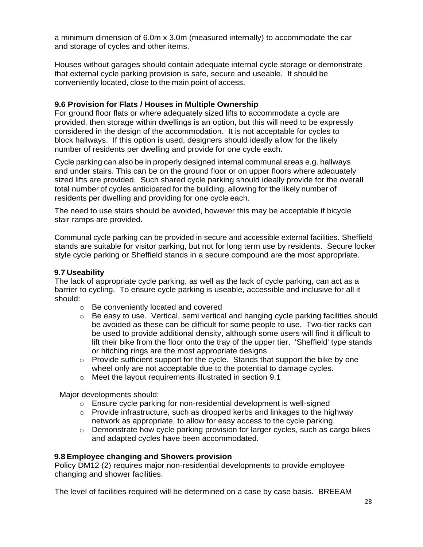a minimum dimension of 6.0m x 3.0m (measured internally) to accommodate the car and storage of cycles and other items.

Houses without garages should contain adequate internal cycle storage or demonstrate that external cycle parking provision is safe, secure and useable. It should be conveniently located, close to the main point of access.

#### **9.6 Provision for Flats / Houses in Multiple Ownership**

For ground floor flats or where adequately sized lifts to accommodate a cycle are provided, then storage within dwellings is an option, but this will need to be expressly considered in the design of the accommodation. It is not acceptable for cycles to block hallways. If this option is used, designers should ideally allow for the likely number of residents per dwelling and provide for one cycle each.

Cycle parking can also be in properly designed internal communal areas e.g. hallways and under stairs. This can be on the ground floor or on upper floors where adequately sized lifts are provided. Such shared cycle parking should ideally provide for the overall total number of cycles anticipated for the building, allowing for the likely number of residents per dwelling and providing for one cycle each.

The need to use stairs should be avoided, however this may be acceptable if bicycle stair ramps are provided.

Communal cycle parking can be provided in secure and accessible external facilities. Sheffield stands are suitable for visitor parking, but not for long term use by residents. Secure locker style cycle parking or Sheffield stands in a secure compound are the most appropriate.

#### **9.7 Useability**

The lack of appropriate cycle parking, as well as the lack of cycle parking, can act as a barrier to cycling. To ensure cycle parking is useable, accessible and inclusive for all it should:

- o Be conveniently located and covered
- $\circ$  Be easy to use. Vertical, semi vertical and hanging cycle parking facilities should be avoided as these can be difficult for some people to use. Two-tier racks can be used to provide additional density, although some users will find it difficult to lift their bike from the floor onto the tray of the upper tier. 'Sheffield' type stands or hitching rings are the most appropriate designs
- $\circ$  Provide sufficient support for the cycle. Stands that support the bike by one wheel only are not acceptable due to the potential to damage cycles.
- o Meet the layout requirements illustrated in section 9.1

Major developments should:

- o Ensure cycle parking for non-residential development is well-signed
- $\circ$  Provide infrastructure, such as dropped kerbs and linkages to the highway network as appropriate, to allow for easy access to the cycle parking.
- $\circ$  Demonstrate how cycle parking provision for larger cycles, such as cargo bikes and adapted cycles have been accommodated.

#### **9.8 Employee changing and Showers provision**

Policy DM12 (2) requires major non-residential developments to provide employee changing and shower facilities.

The level of facilities required will be determined on a case by case basis. BREEAM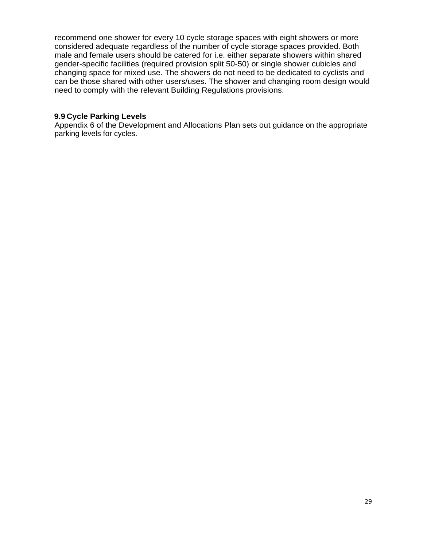recommend one shower for every 10 cycle storage spaces with eight showers or more considered adequate regardless of the number of cycle storage spaces provided. Both male and female users should be catered for i.e. either separate showers within shared gender-specific facilities (required provision split 50-50) or single shower cubicles and changing space for mixed use. The showers do not need to be dedicated to cyclists and can be those shared with other users/uses. The shower and changing room design would need to comply with the relevant Building Regulations provisions.

#### **9.9 Cycle Parking Levels**

Appendix 6 of the Development and Allocations Plan sets out guidance on the appropriate parking levels for cycles.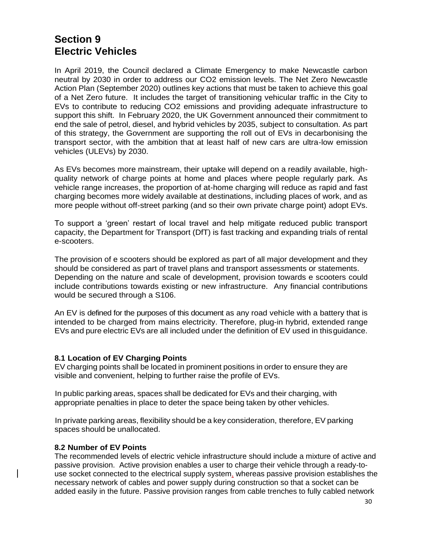# **Section 9 Electric Vehicles**

In April 2019, the Council declared a Climate Emergency to make Newcastle carbon neutral by 2030 in order to address our CO2 emission levels. The Net Zero Newcastle Action Plan (September 2020) outlines key actions that must be taken to achieve this goal of a Net Zero future. It includes the target of transitioning vehicular traffic in the City to EVs to contribute to reducing CO2 emissions and providing adequate infrastructure to support this shift. In February 2020, the UK Government announced their commitment to end the sale of petrol, diesel, and hybrid vehicles by 2035, subject to consultation. As part of this strategy, the Government are supporting the roll out of EVs in decarbonising the transport sector, with the ambition that at least half of new cars are ultra-low emission vehicles (ULEVs) by 2030.

As EVs becomes more mainstream, their uptake will depend on a readily available, highquality network of charge points at home and places where people regularly park. As vehicle range increases, the proportion of at-home charging will reduce as rapid and fast charging becomes more widely available at destinations, including places of work, and as more people without off-street parking (and so their own private charge point) adopt EVs.

To support a 'green' restart of local travel and help mitigate reduced public transport capacity, the Department for Transport (DfT) is fast tracking and expanding trials of rental e-scooters.

The provision of e scooters should be explored as part of all major development and they should be considered as part of travel plans and transport assessments or statements. Depending on the nature and scale of development, provision towards e scooters could include contributions towards existing or new infrastructure. Any financial contributions would be secured through a S106.

An EV is defined for the purposes of this document as any road vehicle with a battery that is intended to be charged from mains electricity. Therefore, plug-in hybrid, extended range EVs and pure electric EVs are all included under the definition of EV used in thisguidance.

#### **8.1 Location of EV Charging Points**

EV charging points shall be located in prominent positions in order to ensure they are visible and convenient, helping to further raise the profile of EVs.

In public parking areas, spaces shall be dedicated for EVs and their charging, with appropriate penalties in place to deter the space being taken by other vehicles.

In private parking areas, flexibility should be a key consideration, therefore, EV parking spaces should be unallocated.

#### **8.2 Number of EV Points**

The recommended levels of electric vehicle infrastructure should include a mixture of active and passive provision. Active provision enables a user to charge their vehicle through a ready-touse socket connected to the electrical supply system, whereas passive provision establishes the necessary network of cables and power supply during construction so that a socket can be added easily in the future. Passive provision ranges from cable trenches to fully cabled network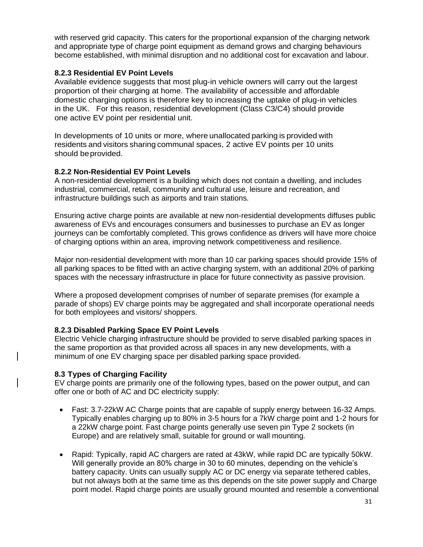with reserved grid capacity. This caters for the proportional expansion of the charging network and appropriate type of charge point equipment as demand grows and charging behaviours become established, with minimal disruption and no additional cost for excavation and labour.

#### **8.2.3 Residential EV Point Levels**

Available evidence suggests that most plug-in vehicle owners will carry out the largest proportion of their charging at home. The availability of accessible and affordable domestic charging options is therefore key to increasing the uptake of plug-in vehicles in the UK. For this reason, residential development (Class C3/C4) should provide one active EV point per residential unit.

In developments of 10 units or more, where unallocated parking is provided with residents and visitors sharing communal spaces, 2 active EV points per 10 units should beprovided.

#### **8.2.2 Non-Residential EV Point Levels**

A non-residential development is a building which does not contain a dwelling, and includes industrial, commercial, retail, community and cultural use, leisure and recreation, and infrastructure buildings such as airports and train stations.

Ensuring active charge points are available at new non-residential developments diffuses public awareness of EVs and encourages consumers and businesses to purchase an EV as longer journeys can be comfortably completed. This grows confidence as drivers will have more choice of charging options within an area, improving network competitiveness and resilience.

Major non-residential development with more than 10 car parking spaces should provide 15% of all parking spaces to be fitted with an active charging system, with an additional 20% of parking spaces with the necessary infrastructure in place for future connectivity as passive provision.

Where a proposed development comprises of number of separate premises (for example a parade of shops) EV charge points may be aggregated and shall incorporate operational needs for both employees and visitors/ shoppers.

#### **8.2.3 Disabled Parking Space EV Point Levels**

Electric Vehicle charging infrastructure should be provided to serve disabled parking spaces in the same proportion as that provided across all spaces in any new developments, with a minimum of one EV charging space per disabled parking space provided-

#### **8.3 Types of Charging Facility**

EV charge points are primarily one of the following types, based on the power output, and can offer one or both of AC and DC electricity supply:

- Fast: 3.7-22kW AC Charge points that are capable of supply energy between 16-32 Amps. Typically enables charging up to 80% in 3-5 hours for a 7kW charge point and 1-2 hours for a 22kW charge point. Fast charge points generally use seven pin Type 2 sockets (in Europe) and are relatively small, suitable for ground or wall mounting.
- Rapid: Typically, rapid AC chargers are rated at 43kW, while rapid DC are typically 50kW. Will generally provide an 80% charge in 30 to 60 minutes, depending on the vehicle's battery capacity. Units can usually supply AC or DC energy via separate tethered cables, but not always both at the same time as this depends on the site power supply and Charge point model. Rapid charge points are usually ground mounted and resemble a conventional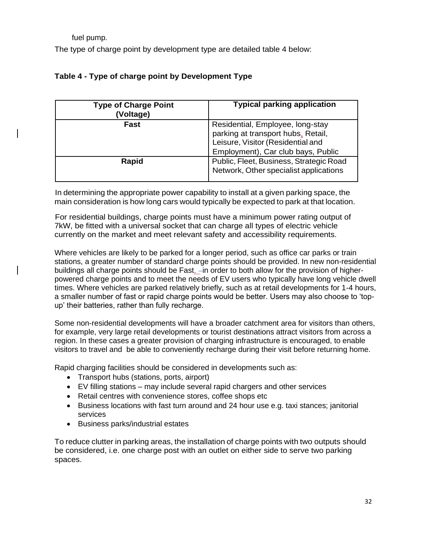fuel pump.

The type of charge point by development type are detailed table 4 below:

| Table 4 - Type of charge point by Development Type |  |  |  |
|----------------------------------------------------|--|--|--|
|                                                    |  |  |  |

| <b>Type of Charge Point</b><br>(Voltage) | <b>Typical parking application</b>                                                                                                                |
|------------------------------------------|---------------------------------------------------------------------------------------------------------------------------------------------------|
| Fast                                     | Residential, Employee, long-stay<br>parking at transport hubs, Retail,<br>Leisure, Visitor (Residential and<br>Employment), Car club bays, Public |
| Rapid                                    | Public, Fleet, Business, Strategic Road<br>Network, Other specialist applications                                                                 |

In determining the appropriate power capability to install at a given parking space, the main consideration is how long cars would typically be expected to park at that location.

For residential buildings, charge points must have a minimum power rating output of 7kW, be fitted with a universal socket that can charge all types of electric vehicle currently on the market and meet relevant safety and accessibility requirements.

Where vehicles are likely to be parked for a longer period, such as office car parks or train stations, a greater number of standard charge points should be provided. In new non-residential buildings all charge points should be Fast, -in order to both allow for the provision of higherpowered charge points and to meet the needs of EV users who typically have long vehicle dwell times. Where vehicles are parked relatively briefly, such as at retail developments for 1-4 hours, a smaller number of fast or rapid charge points would be better. Users may also choose to 'topup' their batteries, rather than fully recharge.

Some non-residential developments will have a broader catchment area for visitors than others, for example, very large retail developments or tourist destinations attract visitors from across a region. In these cases a greater provision of charging infrastructure is encouraged, to enable visitors to travel and be able to conveniently recharge during their visit before returning home.

Rapid charging facilities should be considered in developments such as:

- Transport hubs (stations, ports, airport)
- EV filling stations may include several rapid chargers and other services
- Retail centres with convenience stores, coffee shops etc
- Business locations with fast turn around and 24 hour use e.g. taxi stances; janitorial services
- Business parks/industrial estates

To reduce clutter in parking areas, the installation of charge points with two outputs should be considered, i.e. one charge post with an outlet on either side to serve two parking spaces.